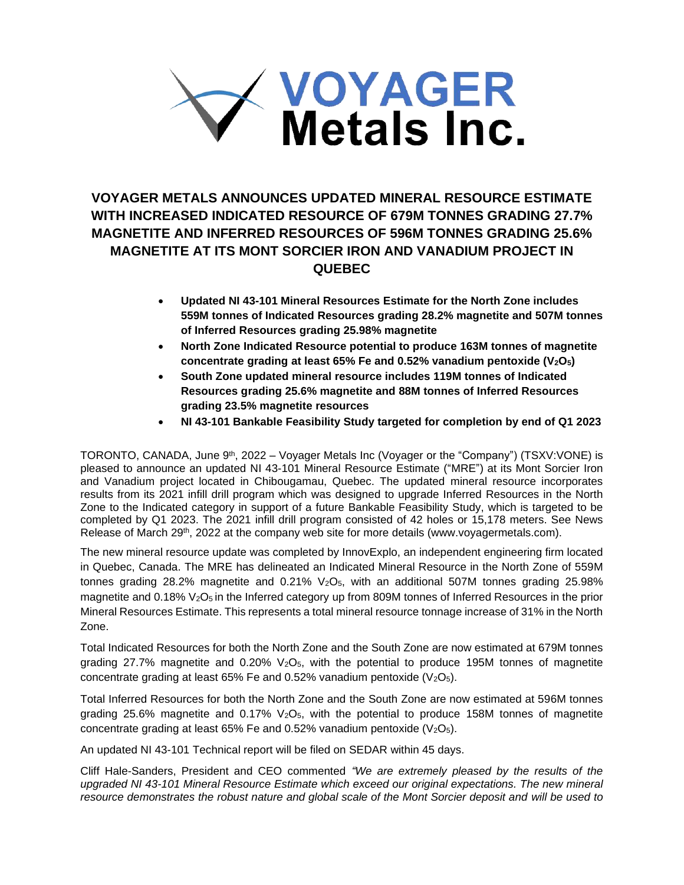

# **VOYAGER METALS ANNOUNCES UPDATED MINERAL RESOURCE ESTIMATE WITH INCREASED INDICATED RESOURCE OF 679M TONNES GRADING 27.7% MAGNETITE AND INFERRED RESOURCES OF 596M TONNES GRADING 25.6% MAGNETITE AT ITS MONT SORCIER IRON AND VANADIUM PROJECT IN QUEBEC**

- **Updated NI 43-101 Mineral Resources Estimate for the North Zone includes 559M tonnes of Indicated Resources grading 28.2% magnetite and 507M tonnes of Inferred Resources grading 25.98% magnetite**
- **North Zone Indicated Resource potential to produce 163M tonnes of magnetite concentrate grading at least 65% Fe and 0.52% vanadium pentoxide (V2O5)**
- **South Zone updated mineral resource includes 119M tonnes of Indicated Resources grading 25.6% magnetite and 88M tonnes of Inferred Resources grading 23.5% magnetite resources**
- **NI 43-101 Bankable Feasibility Study targeted for completion by end of Q1 2023**

TORONTO, CANADA, June 9<sup>th</sup>, 2022 – Voyager Metals Inc (Voyager or the "Company") (TSXV:VONE) is pleased to announce an updated NI 43-101 Mineral Resource Estimate ("MRE") at its Mont Sorcier Iron and Vanadium project located in Chibougamau, Quebec. The updated mineral resource incorporates results from its 2021 infill drill program which was designed to upgrade Inferred Resources in the North Zone to the Indicated category in support of a future Bankable Feasibility Study, which is targeted to be completed by Q1 2023. The 2021 infill drill program consisted of 42 holes or 15,178 meters. See News Release of March 29<sup>th</sup>, 2022 at the company web site for more details (www.voyagermetals.com).

The new mineral resource update was completed by InnovExplo, an independent engineering firm located in Quebec, Canada. The MRE has delineated an Indicated Mineral Resource in the North Zone of 559M tonnes grading 28.2% magnetite and  $0.21\%$  V<sub>2</sub>O<sub>5</sub>, with an additional 507M tonnes grading 25.98% magnetite and 0.18% V<sub>2</sub>O<sub>5</sub> in the Inferred category up from 809M tonnes of Inferred Resources in the prior Mineral Resources Estimate. This represents a total mineral resource tonnage increase of 31% in the North Zone.

Total Indicated Resources for both the North Zone and the South Zone are now estimated at 679M tonnes grading 27.7% magnetite and 0.20%  $V_2O_5$ , with the potential to produce 195M tonnes of magnetite concentrate grading at least 65% Fe and 0.52% vanadium pentoxide  $(V_2O_5)$ .

Total Inferred Resources for both the North Zone and the South Zone are now estimated at 596M tonnes grading 25.6% magnetite and  $0.17\%$  V<sub>2</sub>O<sub>5</sub>, with the potential to produce 158M tonnes of magnetite concentrate grading at least 65% Fe and 0.52% vanadium pentoxide  $(V_2O_5)$ .

An updated NI 43-101 Technical report will be filed on SEDAR within 45 days.

Cliff Hale-Sanders, President and CEO commented *"We are extremely pleased by the results of the upgraded NI 43-101 Mineral Resource Estimate which exceed our original expectations. The new mineral resource demonstrates the robust nature and global scale of the Mont Sorcier deposit and will be used to*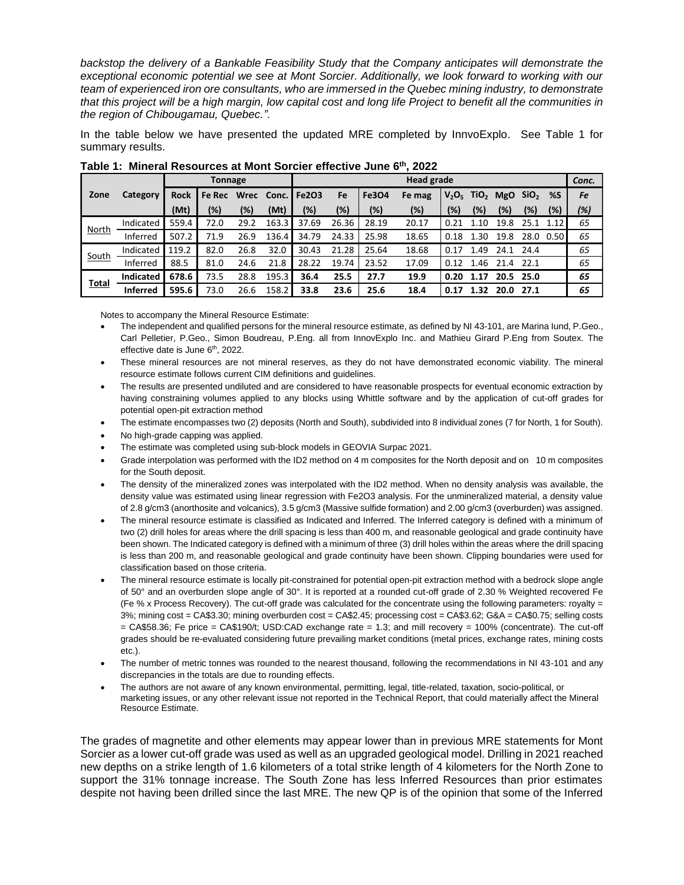*backstop the delivery of a Bankable Feasibility Study that the Company anticipates will demonstrate the exceptional economic potential we see at Mont Sorcier. Additionally, we look forward to working with our team of experienced iron ore consultants, who are immersed in the Quebec mining industry, to demonstrate that this project will be a high margin, low capital cost and long life Project to benefit all the communities in the region of Chibougamau, Quebec.".*

In the table below we have presented the updated MRE completed by InnvoExplo. See Table 1 for summary results.

|              | Category         | Tonnage     |        |             |       | Head grade   |       |              |        |          |                  |            | Conc.            |      |     |
|--------------|------------------|-------------|--------|-------------|-------|--------------|-------|--------------|--------|----------|------------------|------------|------------------|------|-----|
| Zone         |                  | <b>Rock</b> | Fe Rec | <b>Wrec</b> | Conc. | <b>Fe2O3</b> | Fe    | <b>Fe3O4</b> | Fe mag | $V_2O_5$ | TiO <sub>2</sub> | <b>MgO</b> | SiO <sub>2</sub> | %S   | Fe  |
|              |                  | (Mt)        | (%)    | (%)         | (Mt)  | (%)          | (%)   | (%)          | (%)    | (%)      | (%)              | (%)        | (%)              | (%)  | (%) |
| <u>North</u> | Indicated        | 559.4       | 72.0   | 29.2        | 163.3 | 37.69        | 26.36 | 28.19        | 20.17  |          | 1 1 0            | 19.8       | 25.1             | 1.12 | 65  |
|              | Inferred         | 507.2       | 71.9   | 26.9        | 136.4 | 34.79        | 24.33 | 25.98        | 18.65  | 18       | .30              | 19.8       | 28.0             | 0.50 | 65  |
| South        | Indicated        | 119.2       | 82.0   | 26.8        | 32.0  | 30.43        | 21.28 | 25.64        | 18.68  |          | 1.49             | 24.1       | 24.4             |      | 65  |
|              | Inferred         | 88.5        | 81.0   | 24.6        | 21.8  | 28.22        | 19.74 | 23.52        | 17.09  | 12       | 1.46             | 21<br>4    | 22.1             |      | 65  |
| <u>Total</u> | <b>Indicated</b> | 678.6       | 73.5   | 28.8        | 195.3 | 36.4         | 25.5  | 27.7         | 19.9   | 0.20     | 1.17             | 20.5       | 25.0             |      | 65  |
|              | <b>Inferred</b>  | 595.6       | 73.0   | 26.6        | 158.2 | 33.8         | 23.6  | 25.6         | 18.4   | 0.17     | 32<br>1.         | 20.0       | 27.1             |      | 65  |

**Table 1: Mineral Resources at Mont Sorcier effective June 6 th , 2022**

Notes to accompany the Mineral Resource Estimate:

- The independent and qualified persons for the mineral resource estimate, as defined by NI 43-101, are Marina Iund, P.Geo., Carl Pelletier, P.Geo., Simon Boudreau, P.Eng. all from InnovExplo Inc. and Mathieu Girard P.Eng from Soutex. The effective date is June 6<sup>th</sup>, 2022.
- These mineral resources are not mineral reserves, as they do not have demonstrated economic viability. The mineral resource estimate follows current CIM definitions and guidelines.
- The results are presented undiluted and are considered to have reasonable prospects for eventual economic extraction by having constraining volumes applied to any blocks using Whittle software and by the application of cut-off grades for potential open-pit extraction method
- The estimate encompasses two (2) deposits (North and South), subdivided into 8 individual zones (7 for North, 1 for South).
- No high-grade capping was applied.
- The estimate was completed using sub-block models in GEOVIA Surpac 2021.
- Grade interpolation was performed with the ID2 method on 4 m composites for the North deposit and on 10 m composites for the South deposit.
- The density of the mineralized zones was interpolated with the ID2 method. When no density analysis was available, the density value was estimated using linear regression with Fe2O3 analysis. For the unmineralized material, a density value of 2.8 g/cm3 (anorthosite and volcanics), 3.5 g/cm3 (Massive sulfide formation) and 2.00 g/cm3 (overburden) was assigned.
- The mineral resource estimate is classified as Indicated and Inferred. The Inferred category is defined with a minimum of two (2) drill holes for areas where the drill spacing is less than 400 m, and reasonable geological and grade continuity have been shown. The Indicated category is defined with a minimum of three (3) drill holes within the areas where the drill spacing is less than 200 m, and reasonable geological and grade continuity have been shown. Clipping boundaries were used for classification based on those criteria.
- The mineral resource estimate is locally pit-constrained for potential open-pit extraction method with a bedrock slope angle of 50° and an overburden slope angle of 30°. It is reported at a rounded cut-off grade of 2.30 % Weighted recovered Fe (Fe % x Process Recovery). The cut-off grade was calculated for the concentrate using the following parameters: royalty = 3%; mining cost = CA\$3.30; mining overburden cost = CA\$2.45; processing cost = CA\$3.62; G&A = CA\$0.75; selling costs = CA\$58.36; Fe price = CA\$190/t; USD:CAD exchange rate = 1.3; and mill recovery = 100% (concentrate). The cut-off grades should be re-evaluated considering future prevailing market conditions (metal prices, exchange rates, mining costs etc.).
- The number of metric tonnes was rounded to the nearest thousand, following the recommendations in NI 43-101 and any discrepancies in the totals are due to rounding effects.
- The authors are not aware of any known environmental, permitting, legal, title-related, taxation, socio-political, or marketing issues, or any other relevant issue not reported in the Technical Report, that could materially affect the Mineral Resource Estimate.

The grades of magnetite and other elements may appear lower than in previous MRE statements for Mont Sorcier as a lower cut-off grade was used as well as an upgraded geological model. Drilling in 2021 reached new depths on a strike length of 1.6 kilometers of a total strike length of 4 kilometers for the North Zone to support the 31% tonnage increase. The South Zone has less Inferred Resources than prior estimates despite not having been drilled since the last MRE. The new QP is of the opinion that some of the Inferred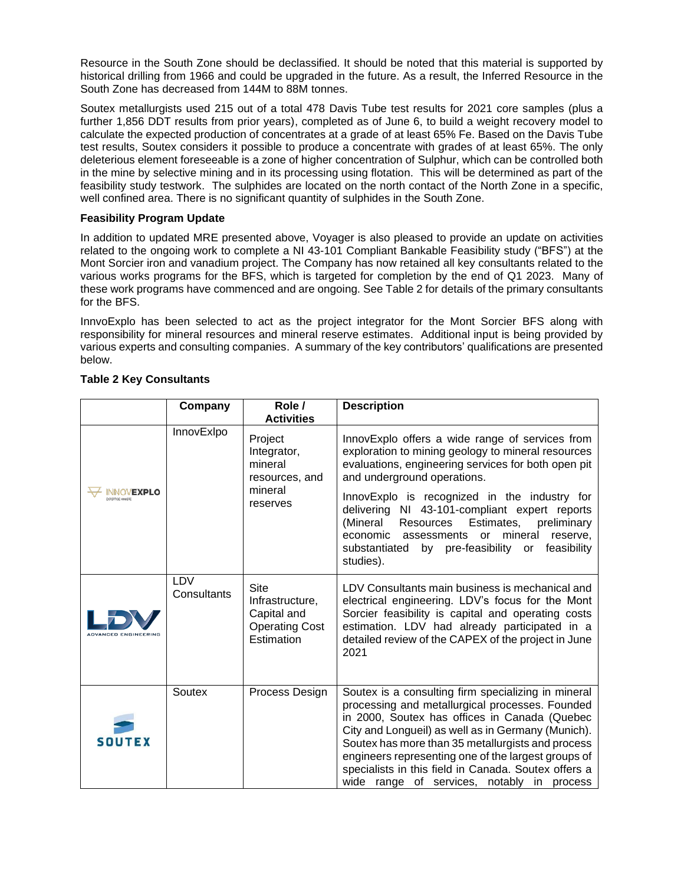Resource in the South Zone should be declassified. It should be noted that this material is supported by historical drilling from 1966 and could be upgraded in the future. As a result, the Inferred Resource in the South Zone has decreased from 144M to 88M tonnes.

Soutex metallurgists used 215 out of a total 478 Davis Tube test results for 2021 core samples (plus a further 1,856 DDT results from prior years), completed as of June 6, to build a weight recovery model to calculate the expected production of concentrates at a grade of at least 65% Fe. Based on the Davis Tube test results, Soutex considers it possible to produce a concentrate with grades of at least 65%. The only deleterious element foreseeable is a zone of higher concentration of Sulphur, which can be controlled both in the mine by selective mining and in its processing using flotation. This will be determined as part of the feasibility study testwork. The sulphides are located on the north contact of the North Zone in a specific, well confined area. There is no significant quantity of sulphides in the South Zone.

## **Feasibility Program Update**

In addition to updated MRE presented above, Voyager is also pleased to provide an update on activities related to the ongoing work to complete a NI 43-101 Compliant Bankable Feasibility study ("BFS") at the Mont Sorcier iron and vanadium project. The Company has now retained all key consultants related to the various works programs for the BFS, which is targeted for completion by the end of Q1 2023. Many of these work programs have commenced and are ongoing. See Table 2 for details of the primary consultants for the BFS.

InnvoExplo has been selected to act as the project integrator for the Mont Sorcier BFS along with responsibility for mineral resources and mineral reserve estimates. Additional input is being provided by various experts and consulting companies. A summary of the key contributors' qualifications are presented below.

|                   | Company            | Role /<br><b>Activities</b>                                                   | <b>Description</b>                                                                                                                                                                                                                                                                                                                                                                                                                                                                   |
|-------------------|--------------------|-------------------------------------------------------------------------------|--------------------------------------------------------------------------------------------------------------------------------------------------------------------------------------------------------------------------------------------------------------------------------------------------------------------------------------------------------------------------------------------------------------------------------------------------------------------------------------|
| <b>INNOVEXPLO</b> | InnovExIpo         | Project<br>Integrator,<br>mineral<br>resources, and<br>mineral<br>reserves    | InnovExplo offers a wide range of services from<br>exploration to mining geology to mineral resources<br>evaluations, engineering services for both open pit<br>and underground operations.<br>InnovExplo is recognized in the industry for<br>delivering NI 43-101-compliant expert reports<br>(Mineral<br>Resources Estimates,<br>preliminary<br>economic<br>mineral<br>assessments<br><b>or</b><br>reserve,<br>by pre-feasibility or<br>substantiated<br>feasibility<br>studies). |
|                   | LDV<br>Consultants | Site<br>Infrastructure,<br>Capital and<br><b>Operating Cost</b><br>Estimation | LDV Consultants main business is mechanical and<br>electrical engineering. LDV's focus for the Mont<br>Sorcier feasibility is capital and operating costs<br>estimation. LDV had already participated in a<br>detailed review of the CAPEX of the project in June<br>2021                                                                                                                                                                                                            |
| <b>SOUTEX</b>     | Soutex             | Process Design                                                                | Soutex is a consulting firm specializing in mineral<br>processing and metallurgical processes. Founded<br>in 2000, Soutex has offices in Canada (Quebec<br>City and Longueil) as well as in Germany (Munich).<br>Soutex has more than 35 metallurgists and process<br>engineers representing one of the largest groups of<br>specialists in this field in Canada. Soutex offers a<br>wide range of services, notably in process                                                      |

# **Table 2 Key Consultants**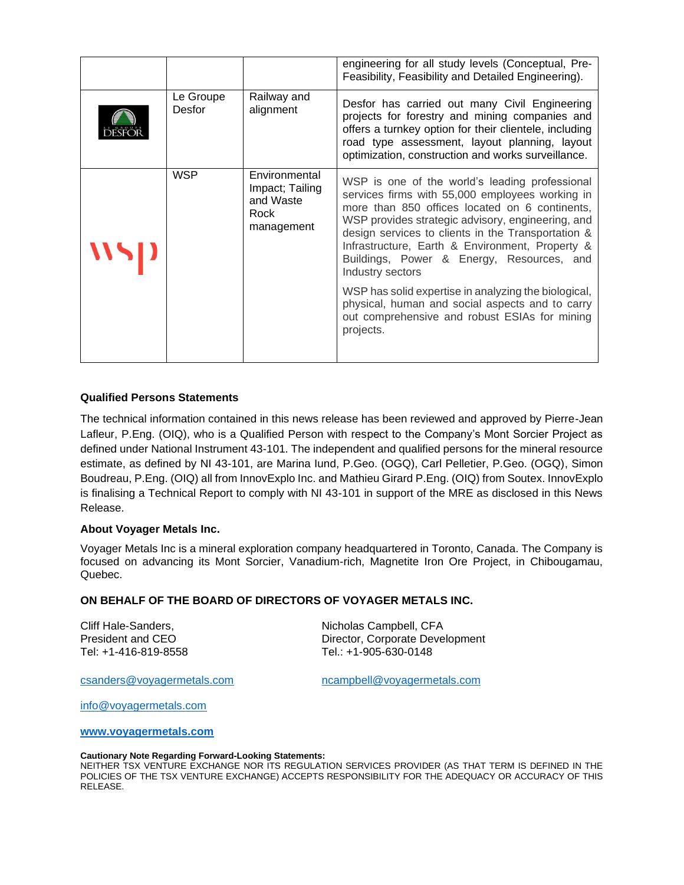|              |                     |                                                                     | engineering for all study levels (Conceptual, Pre-<br>Feasibility, Feasibility and Detailed Engineering).                                                                                                                                                                                                                                                                          |
|--------------|---------------------|---------------------------------------------------------------------|------------------------------------------------------------------------------------------------------------------------------------------------------------------------------------------------------------------------------------------------------------------------------------------------------------------------------------------------------------------------------------|
|              | Le Groupe<br>Desfor | Railway and<br>alignment                                            | Desfor has carried out many Civil Engineering<br>projects for forestry and mining companies and<br>offers a turnkey option for their clientele, including<br>road type assessment, layout planning, layout<br>optimization, construction and works surveillance.                                                                                                                   |
| $\mathbf{W}$ | <b>WSP</b>          | Environmental<br>Impact; Tailing<br>and Waste<br>Rock<br>management | WSP is one of the world's leading professional<br>services firms with 55,000 employees working in<br>more than 850 offices located on 6 continents,<br>WSP provides strategic advisory, engineering, and<br>design services to clients in the Transportation &<br>Infrastructure, Earth & Environment, Property &<br>Buildings, Power & Energy, Resources, and<br>Industry sectors |
|              |                     |                                                                     | WSP has solid expertise in analyzing the biological,<br>physical, human and social aspects and to carry<br>out comprehensive and robust ESIAs for mining<br>projects.                                                                                                                                                                                                              |

## **Qualified Persons Statements**

The technical information contained in this news release has been reviewed and approved by Pierre-Jean Lafleur, P.Eng. (OIQ), who is a Qualified Person with respect to the Company's Mont Sorcier Project as defined under National Instrument 43-101. The independent and qualified persons for the mineral resource estimate, as defined by NI 43-101, are Marina Iund, P.Geo. (OGQ), Carl Pelletier, P.Geo. (OGQ), Simon Boudreau, P.Eng. (OIQ) all from InnovExplo Inc. and Mathieu Girard P.Eng. (OIQ) from Soutex. InnovExplo is finalising a Technical Report to comply with NI 43-101 in support of the MRE as disclosed in this News Release.

#### **About Voyager Metals Inc.**

Voyager Metals Inc is a mineral exploration company headquartered in Toronto, Canada. The Company is focused on advancing its Mont Sorcier, Vanadium-rich, Magnetite Iron Ore Project, in Chibougamau, Quebec.

#### **ON BEHALF OF THE BOARD OF DIRECTORS OF VOYAGER METALS INC.**

Tel: +1-416-819-8558 Tel.: +1-905-630-0148

Cliff Hale-Sanders, Nicholas Campbell, CFA President and CEO Director, Corporate Development

[csanders@voyagermetals.com](mailto:csanders@voyagermetals.com) [ncampbell@voyagermetals.com](mailto:ncampbell@voyagermetals.com)

[info@voyagermetals.com](mailto:info@voyagermetals.com)

**[www.voyagermetals.com](http://www.voyagermetals.com/)**

#### **Cautionary Note Regarding Forward-Looking Statements:**

NEITHER TSX VENTURE EXCHANGE NOR ITS REGULATION SERVICES PROVIDER (AS THAT TERM IS DEFINED IN THE POLICIES OF THE TSX VENTURE EXCHANGE) ACCEPTS RESPONSIBILITY FOR THE ADEQUACY OR ACCURACY OF THIS RELEASE.